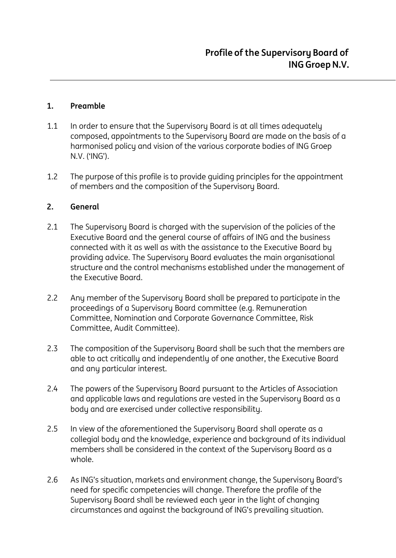### **1. Preamble**

- 1.1 In order to ensure that the Supervisory Board is at all times adequately composed, appointments to the Supervisory Board are made on the basis of a harmonised policy and vision of the various corporate bodies of ING Groep N.V. ('ING').
- 1.2 The purpose of this profile is to provide guiding principles for the appointment of members and the composition of the Supervisory Board.

#### **2. General**

- 2.1 The Supervisory Board is charged with the supervision of the policies of the Executive Board and the general course of affairs of ING and the business connected with it as well as with the assistance to the Executive Board by providing advice. The Supervisory Board evaluates the main organisational structure and the control mechanisms established under the management of the Executive Board.
- 2.2 Any member of the Supervisory Board shall be prepared to participate in the proceedings of a Supervisory Board committee (e.g. Remuneration Committee, Nomination and Corporate Governance Committee, Risk Committee, Audit Committee).
- 2.3 The composition of the Supervisory Board shall be such that the members are able to act critically and independently of one another, the Executive Board and any particular interest.
- 2.4 The powers of the Supervisory Board pursuant to the Articles of Association and applicable laws and regulations are vested in the Supervisory Board as a body and are exercised under collective responsibility.
- 2.5 In view of the aforementioned the Supervisory Board shall operate as a collegial body and the knowledge, experience and background of its individual members shall be considered in the context of the Supervisory Board as a whole.
- 2.6 As ING's situation, markets and environment change, the Supervisory Board's need for specific competencies will change. Therefore the profile of the Supervisory Board shall be reviewed each year in the light of changing circumstances and against the background of ING's prevailing situation.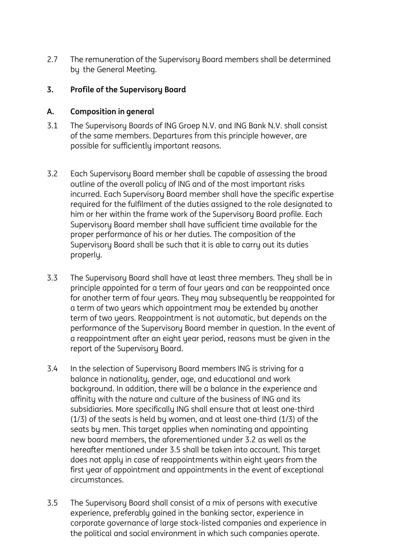2.7 The remuneration of the Supervisory Board members shall be determined by the General Meeting.

## **3. Profile of the Supervisory Board**

#### **A. Composition in general**

- 3.1 The Supervisory Boards of ING Groep N.V. and ING Bank N.V. shall consist of the same members. Departures from this principle however, are possible for sufficiently important reasons.
- 3.2 Each Supervisory Board member shall be capable of assessing the broad outline of the overall policy of ING and of the most important risks incurred. Each Supervisory Board member shall have the specific expertise required for the fulfilment of the duties assigned to the role designated to him or her within the frame work of the Supervisory Board profile. Each Supervisory Board member shall have sufficient time available for the proper performance of his or her duties. The composition of the Supervisory Board shall be such that it is able to carry out its duties properly.
- 3.3 The Supervisory Board shall have at least three members. They shall be in principle appointed for a term of four years and can be reappointed once for another term of four years. They may subsequently be reappointed for a term of two years which appointment may be extended by another term of two years. Reappointment is not automatic, but depends on the performance of the Supervisory Board member in question. In the event of a reappointment after an eight year period, reasons must be given in the report of the Supervisory Board.
- 3.4 In the selection of Supervisory Board members ING is striving for a balance in nationality, gender, age, and educational and work background. In addition, there will be a balance in the experience and affinity with the nature and culture of the business of ING and its subsidiaries. More specifically ING shall ensure that at least one-third (1/3) of the seats is held by women, and at least one-third (1/3) of the seats by men. This target applies when nominating and appointing new board members, the aforementioned under 3.2 as well as the hereafter mentioned under 3.5 shall be taken into account. This target does not apply in case of reappointments within eight years from the first year of appointment and appointments in the event of exceptional circumstances.
- 3.5 The Supervisory Board shall consist of a mix of persons with executive experience, preferably gained in the banking sector, experience in corporate governance of large stock-listed companies and experience in the political and social environment in which such companies operate.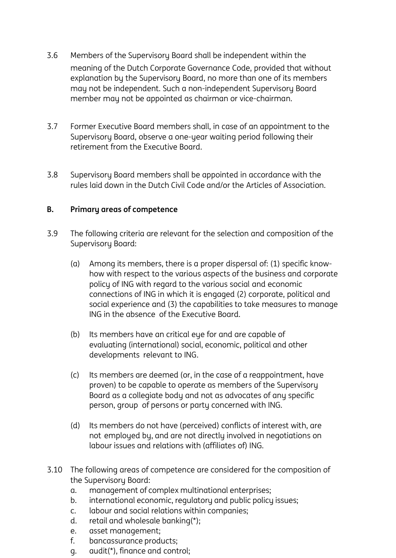- 3.6 Members of the Supervisory Board shall be independent within the meaning of the Dutch Corporate Governance Code, provided that without explanation by the Supervisory Board, no more than one of its members may not be independent. Such a non-independent Supervisory Board member may not be appointed as chairman or vice-chairman.
- 3.7 Former Executive Board members shall, in case of an appointment to the Supervisory Board, observe a one-year waiting period following their retirement from the Executive Board.
- 3.8 Supervisory Board members shall be appointed in accordance with the rules laid down in the Dutch Civil Code and/or the Articles of Association.

# **B. Primary areas of competence**

- 3.9 The following criteria are relevant for the selection and composition of the Supervisory Board:
	- (a) Among its members, there is a proper dispersal of: (1) specific knowhow with respect to the various aspects of the business and corporate policy of ING with regard to the various social and economic connections of ING in which it is engaged (2) corporate, political and social experience and (3) the capabilities to take measures to manage ING in the absence of the Executive Board.
	- (b) Its members have an critical eye for and are capable of evaluating (international) social, economic, political and other developments relevant to ING.
	- (c) Its members are deemed (or, in the case of a reappointment, have proven) to be capable to operate as members of the Supervisory Board as a collegiate body and not as advocates of any specific person, group of persons or party concerned with ING.
	- (d) Its members do not have (perceived) conflicts of interest with, are not employed by, and are not directly involved in negotiations on labour issues and relations with (affiliates of) ING.
- 3.10 The following areas of competence are considered for the composition of the Supervisory Board:
	- a. management of complex multinational enterprises;
	- b. international economic, regulatory and public policy issues;
	- c. labour and social relations within companies;
	- d. retail and wholesale banking(\*);
	- e. asset management;
	- f. bancassurance products;
	- g. audit(\*), finance and control;